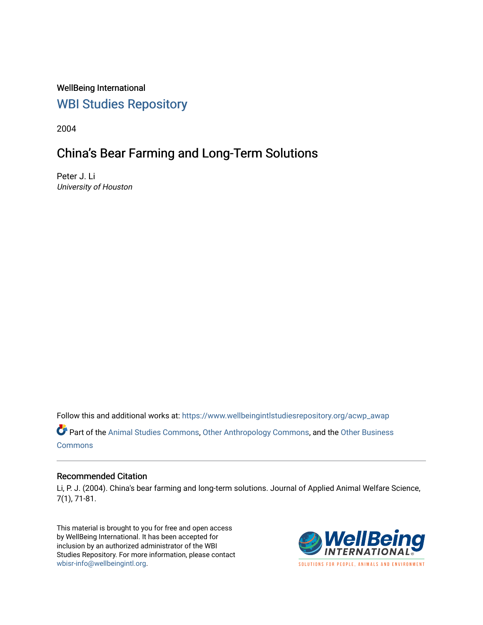WellBeing International [WBI Studies Repository](https://www.wellbeingintlstudiesrepository.org/)

2004

## China's Bear Farming and Long-Term Solutions

Peter J. Li University of Houston

Follow this and additional works at: [https://www.wellbeingintlstudiesrepository.org/acwp\\_awap](https://www.wellbeingintlstudiesrepository.org/acwp_awap?utm_source=www.wellbeingintlstudiesrepository.org%2Facwp_awap%2F54&utm_medium=PDF&utm_campaign=PDFCoverPages) 

Part of the [Animal Studies Commons,](http://network.bepress.com/hgg/discipline/1306?utm_source=www.wellbeingintlstudiesrepository.org%2Facwp_awap%2F54&utm_medium=PDF&utm_campaign=PDFCoverPages) [Other Anthropology Commons](http://network.bepress.com/hgg/discipline/324?utm_source=www.wellbeingintlstudiesrepository.org%2Facwp_awap%2F54&utm_medium=PDF&utm_campaign=PDFCoverPages), and the [Other Business](http://network.bepress.com/hgg/discipline/647?utm_source=www.wellbeingintlstudiesrepository.org%2Facwp_awap%2F54&utm_medium=PDF&utm_campaign=PDFCoverPages) **[Commons](http://network.bepress.com/hgg/discipline/647?utm_source=www.wellbeingintlstudiesrepository.org%2Facwp_awap%2F54&utm_medium=PDF&utm_campaign=PDFCoverPages)** 

### Recommended Citation

Li, P. J. (2004). China's bear farming and long-term solutions. Journal of Applied Animal Welfare Science, 7(1), 71-81.

This material is brought to you for free and open access by WellBeing International. It has been accepted for inclusion by an authorized administrator of the WBI Studies Repository. For more information, please contact [wbisr-info@wellbeingintl.org](mailto:wbisr-info@wellbeingintl.org).



SOLUTIONS FOR PEOPLE. ANIMALS AND ENVIRONMENT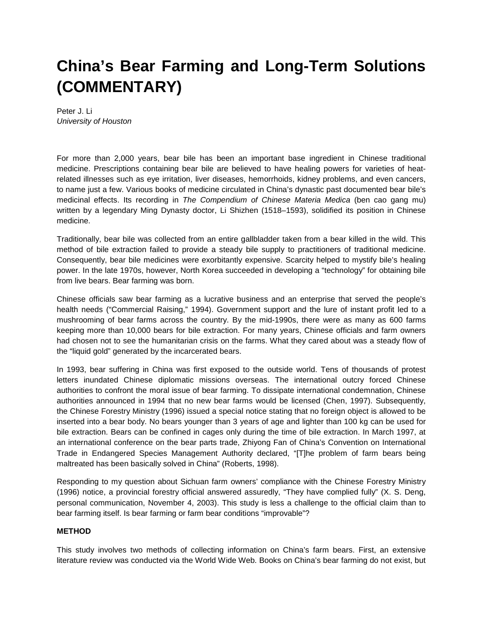# **China's Bear Farming and Long-Term Solutions (COMMENTARY)**

Peter J. Li *University of Houston*

For more than 2,000 years, bear bile has been an important base ingredient in Chinese traditional medicine. Prescriptions containing bear bile are believed to have healing powers for varieties of heatrelated illnesses such as eye irritation, liver diseases, hemorrhoids, kidney problems, and even cancers, to name just a few. Various books of medicine circulated in China's dynastic past documented bear bile's medicinal effects. Its recording in *The Compendium of Chinese Materia Medica* (ben cao gang mu) written by a legendary Ming Dynasty doctor, Li Shizhen (1518–1593), solidified its position in Chinese medicine.

Traditionally, bear bile was collected from an entire gallbladder taken from a bear killed in the wild. This method of bile extraction failed to provide a steady bile supply to practitioners of traditional medicine. Consequently, bear bile medicines were exorbitantly expensive. Scarcity helped to mystify bile's healing power. In the late 1970s, however, North Korea succeeded in developing a "technology" for obtaining bile from live bears. Bear farming was born.

Chinese officials saw bear farming as a lucrative business and an enterprise that served the people's health needs ("Commercial Raising," 1994). Government support and the lure of instant profit led to a mushrooming of bear farms across the country. By the mid-1990s, there were as many as 600 farms keeping more than 10,000 bears for bile extraction. For many years, Chinese officials and farm owners had chosen not to see the humanitarian crisis on the farms. What they cared about was a steady flow of the "liquid gold" generated by the incarcerated bears.

In 1993, bear suffering in China was first exposed to the outside world. Tens of thousands of protest letters inundated Chinese diplomatic missions overseas. The international outcry forced Chinese authorities to confront the moral issue of bear farming. To dissipate international condemnation, Chinese authorities announced in 1994 that no new bear farms would be licensed (Chen, 1997). Subsequently, the Chinese Forestry Ministry (1996) issued a special notice stating that no foreign object is allowed to be inserted into a bear body. No bears younger than 3 years of age and lighter than 100 kg can be used for bile extraction. Bears can be confined in cages only during the time of bile extraction. In March 1997, at an international conference on the bear parts trade, Zhiyong Fan of China's Convention on International Trade in Endangered Species Management Authority declared, "[T]he problem of farm bears being maltreated has been basically solved in China" (Roberts, 1998).

Responding to my question about Sichuan farm owners' compliance with the Chinese Forestry Ministry (1996) notice, a provincial forestry official answered assuredly, "They have complied fully" (X. S. Deng, personal communication, November 4, 2003). This study is less a challenge to the official claim than to bear farming itself. Is bear farming or farm bear conditions "improvable"?

#### **METHOD**

This study involves two methods of collecting information on China's farm bears. First, an extensive literature review was conducted via the World Wide Web. Books on China's bear farming do not exist, but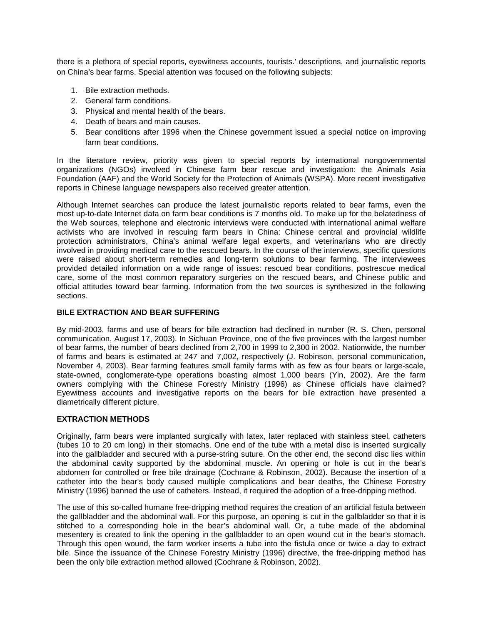there is a plethora of special reports, eyewitness accounts, tourists.' descriptions, and journalistic reports on China's bear farms. Special attention was focused on the following subjects:

- 1. Bile extraction methods.
- 2. General farm conditions.
- 3. Physical and mental health of the bears.
- 4. Death of bears and main causes.
- 5. Bear conditions after 1996 when the Chinese government issued a special notice on improving farm bear conditions.

In the literature review, priority was given to special reports by international nongovernmental organizations (NGOs) involved in Chinese farm bear rescue and investigation: the Animals Asia Foundation (AAF) and the World Society for the Protection of Animals (WSPA). More recent investigative reports in Chinese language newspapers also received greater attention.

Although Internet searches can produce the latest journalistic reports related to bear farms, even the most up-to-date Internet data on farm bear conditions is 7 months old. To make up for the belatedness of the Web sources, telephone and electronic interviews were conducted with international animal welfare activists who are involved in rescuing farm bears in China: Chinese central and provincial wildlife protection administrators, China's animal welfare legal experts, and veterinarians who are directly involved in providing medical care to the rescued bears. In the course of the interviews, specific questions were raised about short-term remedies and long-term solutions to bear farming. The interviewees provided detailed information on a wide range of issues: rescued bear conditions, postrescue medical care, some of the most common reparatory surgeries on the rescued bears, and Chinese public and official attitudes toward bear farming. Information from the two sources is synthesized in the following sections.

#### **BILE EXTRACTION AND BEAR SUFFERING**

By mid-2003, farms and use of bears for bile extraction had declined in number (R. S. Chen, personal communication, August 17, 2003). In Sichuan Province, one of the five provinces with the largest number of bear farms, the number of bears declined from 2,700 in 1999 to 2,300 in 2002. Nationwide, the number of farms and bears is estimated at 247 and 7,002, respectively (J. Robinson, personal communication, November 4, 2003). Bear farming features small family farms with as few as four bears or large-scale, state-owned, conglomerate-type operations boasting almost 1,000 bears (Yin, 2002). Are the farm owners complying with the Chinese Forestry Ministry (1996) as Chinese officials have claimed? Eyewitness accounts and investigative reports on the bears for bile extraction have presented a diametrically different picture.

#### **EXTRACTION METHODS**

Originally, farm bears were implanted surgically with latex, later replaced with stainless steel, catheters (tubes 10 to 20 cm long) in their stomachs. One end of the tube with a metal disc is inserted surgically into the gallbladder and secured with a purse-string suture. On the other end, the second disc lies within the abdominal cavity supported by the abdominal muscle. An opening or hole is cut in the bear's abdomen for controlled or free bile drainage (Cochrane & Robinson, 2002). Because the insertion of a catheter into the bear's body caused multiple complications and bear deaths, the Chinese Forestry Ministry (1996) banned the use of catheters. Instead, it required the adoption of a free-dripping method.

The use of this so-called humane free-dripping method requires the creation of an artificial fistula between the gallbladder and the abdominal wall. For this purpose, an opening is cut in the gallbladder so that it is stitched to a corresponding hole in the bear's abdominal wall. Or, a tube made of the abdominal mesentery is created to link the opening in the gallbladder to an open wound cut in the bear's stomach. Through this open wound, the farm worker inserts a tube into the fistula once or twice a day to extract bile. Since the issuance of the Chinese Forestry Ministry (1996) directive, the free-dripping method has been the only bile extraction method allowed (Cochrane & Robinson, 2002).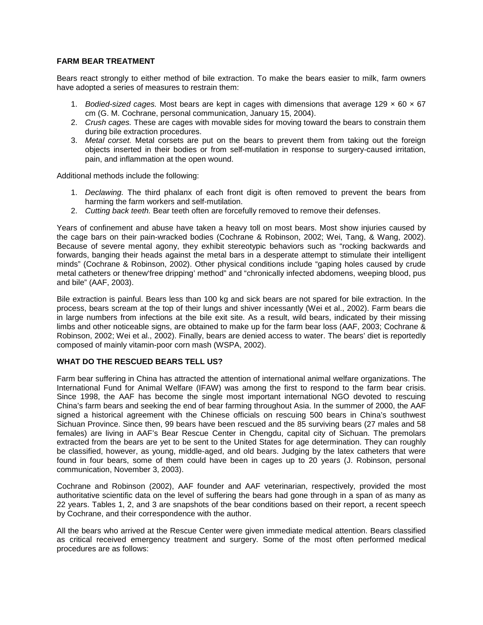#### **FARM BEAR TREATMENT**

Bears react strongly to either method of bile extraction. To make the bears easier to milk, farm owners have adopted a series of measures to restrain them:

- 1. *Bodied-sized cages.* Most bears are kept in cages with dimensions that average 129 × 60 × 67 cm (G. M. Cochrane, personal communication, January 15, 2004).
- 2. *Crush cages.* These are cages with movable sides for moving toward the bears to constrain them during bile extraction procedures.
- 3. *Metal corset.* Metal corsets are put on the bears to prevent them from taking out the foreign objects inserted in their bodies or from self-mutilation in response to surgery-caused irritation, pain, and inflammation at the open wound.

Additional methods include the following:

- 1. *Declawing.* The third phalanx of each front digit is often removed to prevent the bears from harming the farm workers and self-mutilation.
- 2. *Cutting back teeth.* Bear teeth often are forcefully removed to remove their defenses.

Years of confinement and abuse have taken a heavy toll on most bears. Most show injuries caused by the cage bars on their pain-wracked bodies (Cochrane & Robinson, 2002; Wei, Tang, & Wang, 2002). Because of severe mental agony, they exhibit stereotypic behaviors such as "rocking backwards and forwards, banging their heads against the metal bars in a desperate attempt to stimulate their intelligent minds" (Cochrane & Robinson, 2002). Other physical conditions include "gaping holes caused by crude metal catheters or thenew'free dripping' method" and "chronically infected abdomens, weeping blood, pus and bile" (AAF, 2003).

Bile extraction is painful. Bears less than 100 kg and sick bears are not spared for bile extraction. In the process, bears scream at the top of their lungs and shiver incessantly (Wei et al., 2002). Farm bears die in large numbers from infections at the bile exit site. As a result, wild bears, indicated by their missing limbs and other noticeable signs, are obtained to make up for the farm bear loss (AAF, 2003; Cochrane & Robinson, 2002; Wei et al., 2002). Finally, bears are denied access to water. The bears' diet is reportedly composed of mainly vitamin-poor corn mash (WSPA, 2002).

#### **WHAT DO THE RESCUED BEARS TELL US?**

Farm bear suffering in China has attracted the attention of international animal welfare organizations. The International Fund for Animal Welfare (IFAW) was among the first to respond to the farm bear crisis. Since 1998, the AAF has become the single most important international NGO devoted to rescuing China's farm bears and seeking the end of bear farming throughout Asia. In the summer of 2000, the AAF signed a historical agreement with the Chinese officials on rescuing 500 bears in China's southwest Sichuan Province. Since then, 99 bears have been rescued and the 85 surviving bears (27 males and 58 females) are living in AAF's Bear Rescue Center in Chengdu, capital city of Sichuan. The premolars extracted from the bears are yet to be sent to the United States for age determination. They can roughly be classified, however, as young, middle-aged, and old bears. Judging by the latex catheters that were found in four bears, some of them could have been in cages up to 20 years (J. Robinson, personal communication, November 3, 2003).

Cochrane and Robinson (2002), AAF founder and AAF veterinarian, respectively, provided the most authoritative scientific data on the level of suffering the bears had gone through in a span of as many as 22 years. Tables 1, 2, and 3 are snapshots of the bear conditions based on their report, a recent speech by Cochrane, and their correspondence with the author.

All the bears who arrived at the Rescue Center were given immediate medical attention. Bears classified as critical received emergency treatment and surgery. Some of the most often performed medical procedures are as follows: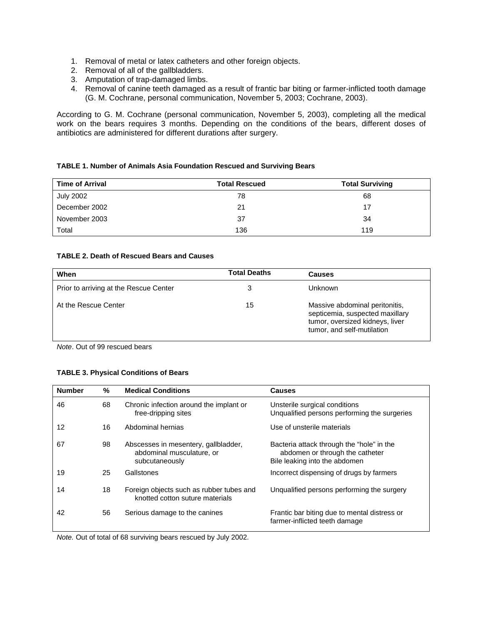- 1. Removal of metal or latex catheters and other foreign objects.
- 2. Removal of all of the gallbladders.
- 3. Amputation of trap-damaged limbs.
- 4. Removal of canine teeth damaged as a result of frantic bar biting or farmer-inflicted tooth damage (G. M. Cochrane, personal communication, November 5, 2003; Cochrane, 2003).

According to G. M. Cochrane (personal communication, November 5, 2003), completing all the medical work on the bears requires 3 months. Depending on the conditions of the bears, different doses of antibiotics are administered for different durations after surgery.

#### **TABLE 1. Number of Animals Asia Foundation Rescued and Surviving Bears**

| <b>Time of Arrival</b> | <b>Total Rescued</b> | <b>Total Surviving</b> |
|------------------------|----------------------|------------------------|
| <b>July 2002</b>       | 78                   | 68                     |
| December 2002          | 21                   | 17                     |
| November 2003          | 37                   | 34                     |
| Total                  | 136                  | 119                    |

#### **TABLE 2. Death of Rescued Bears and Causes**

| When                                   | <b>Total Deaths</b> | <b>Causes</b>                                                                                                                      |
|----------------------------------------|---------------------|------------------------------------------------------------------------------------------------------------------------------------|
| Prior to arriving at the Rescue Center |                     | Unknown                                                                                                                            |
| At the Rescue Center                   | 15                  | Massive abdominal peritonitis,<br>septicemia, suspected maxillary<br>tumor, oversized kidneys, liver<br>tumor, and self-mutilation |

*Note*. Out of 99 rescued bears

#### **TABLE 3. Physical Conditions of Bears**

| <b>Number</b> | %  | <b>Medical Conditions</b>                                                           | <b>Causes</b>                                                                                                 |
|---------------|----|-------------------------------------------------------------------------------------|---------------------------------------------------------------------------------------------------------------|
| 46            | 68 | Chronic infection around the implant or<br>free-dripping sites                      | Unsterile surgical conditions<br>Unqualified persons performing the surgeries                                 |
| 12            | 16 | Abdominal hernias                                                                   | Use of unsterile materials                                                                                    |
| 67            | 98 | Abscesses in mesentery, gallbladder,<br>abdominal musculature, or<br>subcutaneously | Bacteria attack through the "hole" in the<br>abdomen or through the catheter<br>Bile leaking into the abdomen |
| 19            | 25 | Gallstones                                                                          | Incorrect dispensing of drugs by farmers                                                                      |
| 14            | 18 | Foreign objects such as rubber tubes and<br>knotted cotton suture materials         | Unqualified persons performing the surgery                                                                    |
| 42            | 56 | Serious damage to the canines                                                       | Frantic bar biting due to mental distress or<br>farmer-inflicted teeth damage                                 |

*Note.* Out of total of 68 surviving bears rescued by July 2002.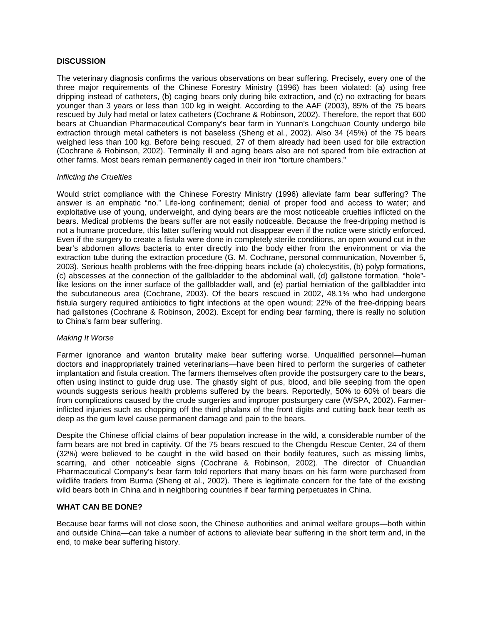#### **DISCUSSION**

The veterinary diagnosis confirms the various observations on bear suffering. Precisely, every one of the three major requirements of the Chinese Forestry Ministry (1996) has been violated: (a) using free dripping instead of catheters, (b) caging bears only during bile extraction, and (c) no extracting for bears younger than 3 years or less than 100 kg in weight. According to the AAF (2003), 85% of the 75 bears rescued by July had metal or latex catheters (Cochrane & Robinson, 2002). Therefore, the report that 600 bears at Chuandian Pharmaceutical Company's bear farm in Yunnan's Longchuan County undergo bile extraction through metal catheters is not baseless (Sheng et al., 2002). Also 34 (45%) of the 75 bears weighed less than 100 kg. Before being rescued, 27 of them already had been used for bile extraction (Cochrane & Robinson, 2002). Terminally ill and aging bears also are not spared from bile extraction at other farms. Most bears remain permanently caged in their iron "torture chambers."

#### *Inflicting the Cruelties*

Would strict compliance with the Chinese Forestry Ministry (1996) alleviate farm bear suffering? The answer is an emphatic "no." Life-long confinement; denial of proper food and access to water; and exploitative use of young, underweight, and dying bears are the most noticeable cruelties inflicted on the bears. Medical problems the bears suffer are not easily noticeable. Because the free-dripping method is not a humane procedure, this latter suffering would not disappear even if the notice were strictly enforced. Even if the surgery to create a fistula were done in completely sterile conditions, an open wound cut in the bear's abdomen allows bacteria to enter directly into the body either from the environment or via the extraction tube during the extraction procedure (G. M. Cochrane, personal communication, November 5, 2003). Serious health problems with the free-dripping bears include (a) cholecystitis, (b) polyp formations, (c) abscesses at the connection of the gallbladder to the abdominal wall, (d) gallstone formation, "hole" like lesions on the inner surface of the gallbladder wall, and (e) partial herniation of the gallbladder into the subcutaneous area (Cochrane, 2003). Of the bears rescued in 2002, 48.1% who had undergone fistula surgery required antibiotics to fight infections at the open wound; 22% of the free-dripping bears had gallstones (Cochrane & Robinson, 2002). Except for ending bear farming, there is really no solution to China's farm bear suffering.

#### *Making It Worse*

Farmer ignorance and wanton brutality make bear suffering worse. Unqualified personnel—human doctors and inappropriately trained veterinarians—have been hired to perform the surgeries of catheter implantation and fistula creation. The farmers themselves often provide the postsurgery care to the bears, often using instinct to guide drug use. The ghastly sight of pus, blood, and bile seeping from the open wounds suggests serious health problems suffered by the bears. Reportedly, 50% to 60% of bears die from complications caused by the crude surgeries and improper postsurgery care (WSPA, 2002). Farmerinflicted injuries such as chopping off the third phalanx of the front digits and cutting back bear teeth as deep as the gum level cause permanent damage and pain to the bears.

Despite the Chinese official claims of bear population increase in the wild, a considerable number of the farm bears are not bred in captivity. Of the 75 bears rescued to the Chengdu Rescue Center, 24 of them (32%) were believed to be caught in the wild based on their bodily features, such as missing limbs, scarring, and other noticeable signs (Cochrane & Robinson, 2002). The director of Chuandian Pharmaceutical Company's bear farm told reporters that many bears on his farm were purchased from wildlife traders from Burma (Sheng et al., 2002). There is legitimate concern for the fate of the existing wild bears both in China and in neighboring countries if bear farming perpetuates in China.

#### **WHAT CAN BE DONE?**

Because bear farms will not close soon, the Chinese authorities and animal welfare groups—both within and outside China—can take a number of actions to alleviate bear suffering in the short term and, in the end, to make bear suffering history.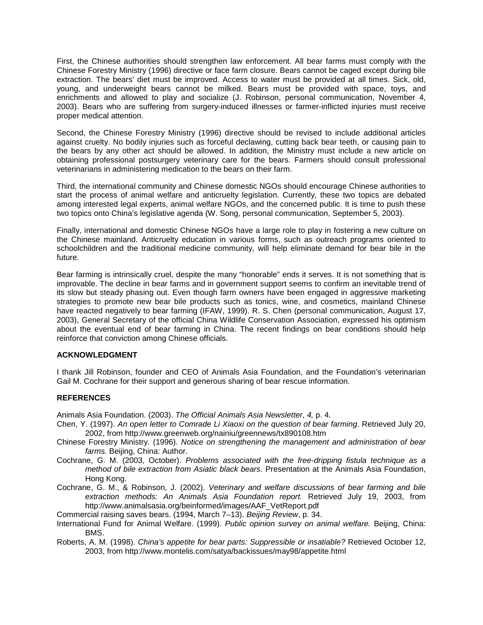First, the Chinese authorities should strengthen law enforcement. All bear farms must comply with the Chinese Forestry Ministry (1996) directive or face farm closure. Bears cannot be caged except during bile extraction. The bears' diet must be improved. Access to water must be provided at all times. Sick, old, young, and underweight bears cannot be milked. Bears must be provided with space, toys, and enrichments and allowed to play and socialize (J. Robinson, personal communication, November 4, 2003). Bears who are suffering from surgery-induced illnesses or farmer-inflicted injuries must receive proper medical attention.

Second, the Chinese Forestry Ministry (1996) directive should be revised to include additional articles against cruelty. No bodily injuries such as forceful declawing, cutting back bear teeth, or causing pain to the bears by any other act should be allowed. In addition, the Ministry must include a new article on obtaining professional postsurgery veterinary care for the bears. Farmers should consult professional veterinarians in administering medication to the bears on their farm.

Third, the international community and Chinese domestic NGOs should encourage Chinese authorities to start the process of animal welfare and anticruelty legislation. Currently, these two topics are debated among interested legal experts, animal welfare NGOs, and the concerned public. It is time to push these two topics onto China's legislative agenda (W. Song, personal communication, September 5, 2003).

Finally, international and domestic Chinese NGOs have a large role to play in fostering a new culture on the Chinese mainland. Anticruelty education in various forms, such as outreach programs oriented to schoolchildren and the traditional medicine community, will help eliminate demand for bear bile in the future.

Bear farming is intrinsically cruel, despite the many "honorable" ends it serves. It is not something that is improvable. The decline in bear farms and in government support seems to confirm an inevitable trend of its slow but steady phasing out. Even though farm owners have been engaged in aggressive marketing strategies to promote new bear bile products such as tonics, wine, and cosmetics, mainland Chinese have reacted negatively to bear farming (IFAW, 1999). R. S. Chen (personal communication, August 17, 2003), General Secretary of the official China Wildlife Conservation Association, expressed his optimism about the eventual end of bear farming in China. The recent findings on bear conditions should help reinforce that conviction among Chinese officials.

#### **ACKNOWLEDGMENT**

I thank Jill Robinson, founder and CEO of Animals Asia Foundation, and the Foundation's veterinarian Gail M. Cochrane for their support and generous sharing of bear rescue information.

#### **REFERENCES**

Animals Asia Foundation. (2003). *The Official Animals Asia Newsletter*, *4,* p. 4.

- Chen, Y. (1997). *An open letter to Comrade Li Xiaoxi on the question of bear farming*. Retrieved July 20, 2002, from http://www.greenweb.org/nainiu/greennews/tx890108.htm
- Chinese Forestry Ministry. (1996). *Notice on strengthening the management and administration of bear farms.* Beijing, China: Author.
- Cochrane, G. M. (2003, October). *Problems associated with the free-dripping fistula technique as a method of bile extraction from Asiatic black bears*. Presentation at the Animals Asia Foundation, Hong Kong.
- Cochrane, G. M., & Robinson, J. (2002). *Veterinary and welfare discussions of bear farming and bile extraction methods: An Animals Asia Foundation report.* Retrieved July 19, 2003, from http://www.animalsasia.org/beinformed/images/AAF\_VetReport.pdf
- Commercial raising saves bears. (1994, March 7–13). *Beijing Review*, p. 34.
- International Fund for Animal Welfare. (1999). *Public opinion survey on animal welfare.* Beijing, China: BMS.
- Roberts, A. M. (1998). *China's appetite for bear parts: Suppressible or insatiable?* Retrieved October 12, 2003, from http://www.montelis.com/satya/backissues/may98/appetite.html